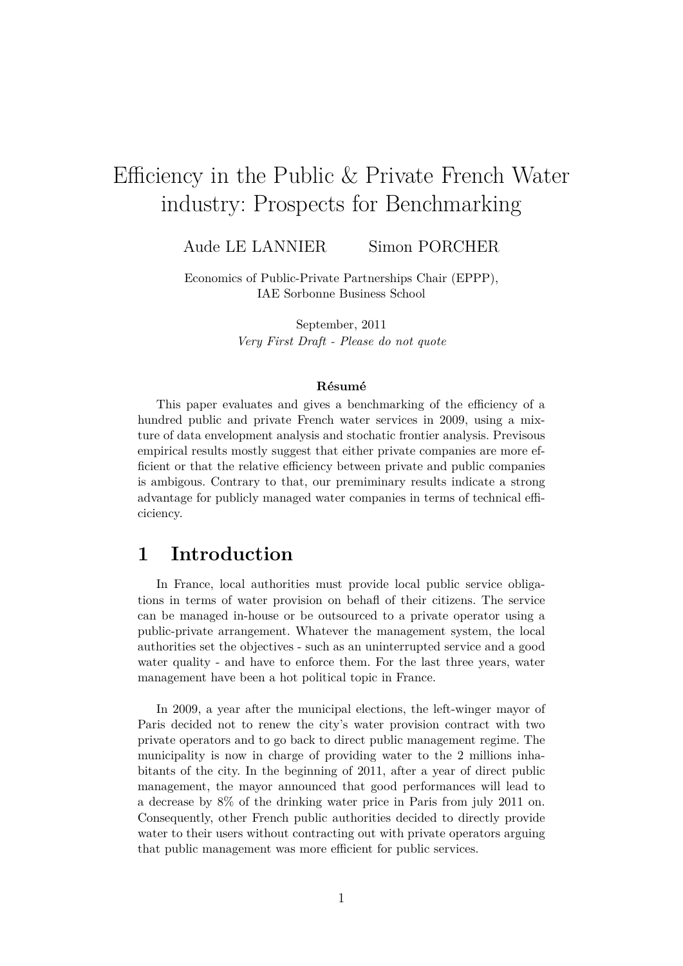# Efficiency in the Public & Private French Water industry: Prospects for Benchmarking

Aude LE LANNIER Simon PORCHER

Economics of Public-Private Partnerships Chair (EPPP), IAE Sorbonne Business School

> September, 2011 *Very First Draft - Please do not quote*

#### **Résumé**

This paper evaluates and gives a benchmarking of the efficiency of a hundred public and private French water services in 2009, using a mixture of data envelopment analysis and stochatic frontier analysis. Previsous empirical results mostly suggest that either private companies are more efficient or that the relative efficiency between private and public companies is ambigous. Contrary to that, our premiminary results indicate a strong advantage for publicly managed water companies in terms of technical efficiciency.

### **1 Introduction**

In France, local authorities must provide local public service obligations in terms of water provision on behafl of their citizens. The service can be managed in-house or be outsourced to a private operator using a public-private arrangement. Whatever the management system, the local authorities set the objectives - such as an uninterrupted service and a good water quality - and have to enforce them. For the last three years, water management have been a hot political topic in France.

In 2009, a year after the municipal elections, the left-winger mayor of Paris decided not to renew the city's water provision contract with two private operators and to go back to direct public management regime. The municipality is now in charge of providing water to the 2 millions inhabitants of the city. In the beginning of 2011, after a year of direct public management, the mayor announced that good performances will lead to a decrease by 8% of the drinking water price in Paris from july 2011 on. Consequently, other French public authorities decided to directly provide water to their users without contracting out with private operators arguing that public management was more efficient for public services.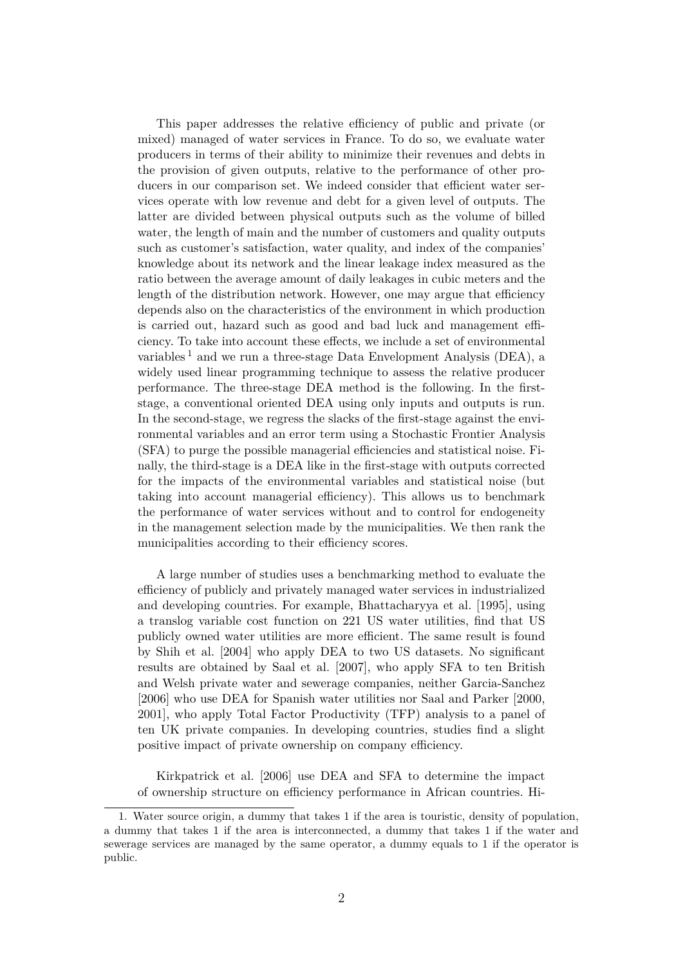This paper addresses the relative efficiency of public and private (or mixed) managed of water services in France. To do so, we evaluate water producers in terms of their ability to minimize their revenues and debts in the provision of given outputs, relative to the performance of other producers in our comparison set. We indeed consider that efficient water services operate with low revenue and debt for a given level of outputs. The latter are divided between physical outputs such as the volume of billed water, the length of main and the number of customers and quality outputs such as customer's satisfaction, water quality, and index of the companies' knowledge about its network and the linear leakage index measured as the ratio between the average amount of daily leakages in cubic meters and the length of the distribution network. However, one may argue that efficiency depends also on the characteristics of the environment in which production is carried out, hazard such as good and bad luck and management efficiency. To take into account these effects, we include a set of environmental variables<sup>1</sup> and we run a three-stage Data Envelopment Analysis (DEA), a widely used linear programming technique to assess the relative producer performance. The three-stage DEA method is the following. In the firststage, a conventional oriented DEA using only inputs and outputs is run. In the second-stage, we regress the slacks of the first-stage against the environmental variables and an error term using a Stochastic Frontier Analysis (SFA) to purge the possible managerial efficiencies and statistical noise. Finally, the third-stage is a DEA like in the first-stage with outputs corrected for the impacts of the environmental variables and statistical noise (but taking into account managerial efficiency). This allows us to benchmark the performance of water services without and to control for endogeneity in the management selection made by the municipalities. We then rank the municipalities according to their efficiency scores.

A large number of studies uses a benchmarking method to evaluate the efficiency of publicly and privately managed water services in industrialized and developing countries. For example, [Bhattacharyya et al.](#page-15-0) [\[1995\]](#page-15-0), using a translog variable cost function on 221 US water utilities, find that US publicly owned water utilities are more efficient. The same result is found by [Shih et al.](#page-18-0) [\[2004\]](#page-18-0) who apply DEA to two US datasets. No significant results are obtained by [Saal et al.](#page-18-1) [\[2007\]](#page-18-1), who apply SFA to ten British and Welsh private water and sewerage companies, neither [Garcia-Sanchez](#page-17-0) [\[2006\]](#page-17-0) who use DEA for Spanish water utilities nor [Saal and Parker](#page-18-2) [\[2000,](#page-18-2) [2001\]](#page-18-3), who apply Total Factor Productivity (TFP) analysis to a panel of ten UK private companies. In developing countries, studies find a slight positive impact of private ownership on company efficiency.

[Kirkpatrick et al.](#page-17-1) [\[2006\]](#page-17-1) use DEA and SFA to determine the impact of ownership structure on efficiency performance in African countries. Hi-

<sup>1.</sup> Water source origin, a dummy that takes 1 if the area is touristic, density of population, a dummy that takes 1 if the area is interconnected, a dummy that takes 1 if the water and sewerage services are managed by the same operator, a dummy equals to 1 if the operator is public.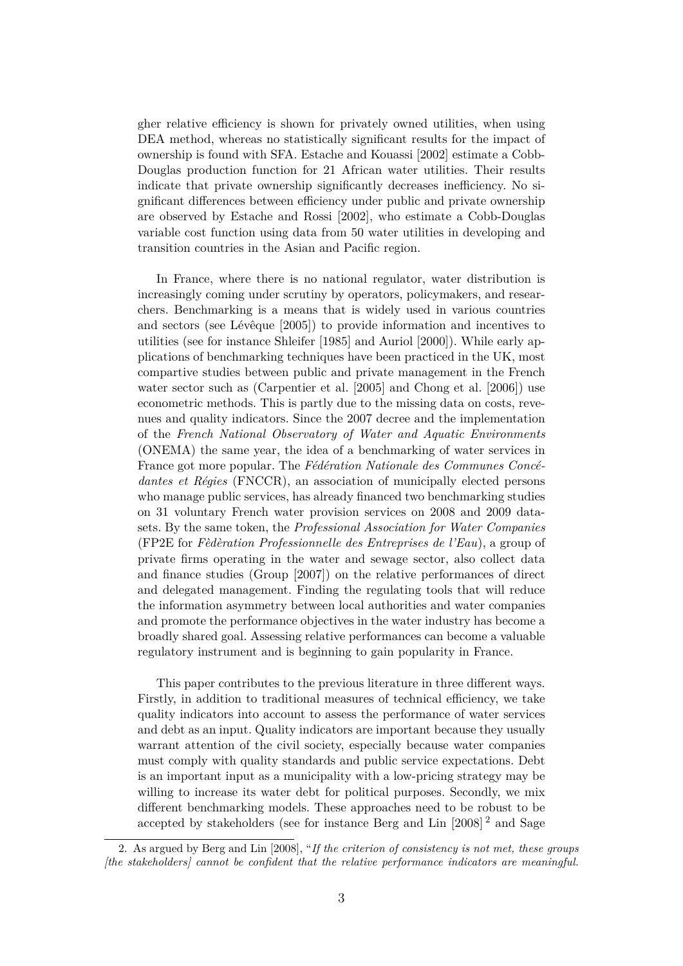gher relative efficiency is shown for privately owned utilities, when using DEA method, whereas no statistically significant results for the impact of ownership is found with SFA. [Estache and Kouassi](#page-16-0) [\[2002\]](#page-16-0) estimate a Cobb-Douglas production function for 21 African water utilities. Their results indicate that private ownership significantly decreases inefficiency. No significant differences between efficiency under public and private ownership are observed by [Estache and Rossi](#page-17-2) [\[2002\]](#page-17-2), who estimate a Cobb-Douglas variable cost function using data from 50 water utilities in developing and transition countries in the Asian and Pacific region.

In France, where there is no national regulator, water distribution is increasingly coming under scrutiny by operators, policymakers, and researchers. Benchmarking is a means that is widely used in various countries and sectors (see [Lévêque](#page-17-3) [\[2005\]](#page-17-3)) to provide information and incentives to utilities (see for instance [Shleifer](#page-18-4) [\[1985\]](#page-18-4) and [Auriol](#page-15-1) [\[2000\]](#page-15-1)). While early applications of benchmarking techniques have been practiced in the UK, most compartive studies between public and private management in the French water sector such as [\(Carpentier et al.](#page-16-1) [\[2005\]](#page-16-1) and [Chong et al.](#page-16-2) [\[2006\]](#page-16-2)) use econometric methods. This is partly due to the missing data on costs, revenues and quality indicators. Since the 2007 decree and the implementation of the *French National Observatory of Water and Aquatic Environments* (ONEMA) the same year, the idea of a benchmarking of water services in France got more popular. The *Fédération Nationale des Communes Concédantes et Régies* (FNCCR), an association of municipally elected persons who manage public services, has already financed two benchmarking studies on 31 voluntary French water provision services on 2008 and 2009 datasets. By the same token, the *Professional Association for Water Companies* (FP2E for *Fèdèration Professionnelle des Entreprises de l'Eau*), a group of private firms operating in the water and sewage sector, also collect data and finance studies [\(Group](#page-17-4) [\[2007\]](#page-17-4)) on the relative performances of direct and delegated management. Finding the regulating tools that will reduce the information asymmetry between local authorities and water companies and promote the performance objectives in the water industry has become a broadly shared goal. Assessing relative performances can become a valuable regulatory instrument and is beginning to gain popularity in France.

This paper contributes to the previous literature in three different ways. Firstly, in addition to traditional measures of technical efficiency, we take quality indicators into account to assess the performance of water services and debt as an input. Quality indicators are important because they usually warrant attention of the civil society, especially because water companies must comply with quality standards and public service expectations. Debt is an important input as a municipality with a low-pricing strategy may be willing to increase its water debt for political purposes. Secondly, we mix different benchmarking models. These approaches need to be robust to be accepted by stakeholders (see for instance [Berg and Lin](#page-15-2) [\[2008\]](#page-15-2) <sup>2</sup> and [Sage](#page-18-5)

<sup>2.</sup> As argued by [Berg and Lin](#page-15-2) [\[2008\]](#page-15-2), "*If the criterion of consistency is not met, these groups [the stakeholders] cannot be confident that the relative performance indicators are meaningful.*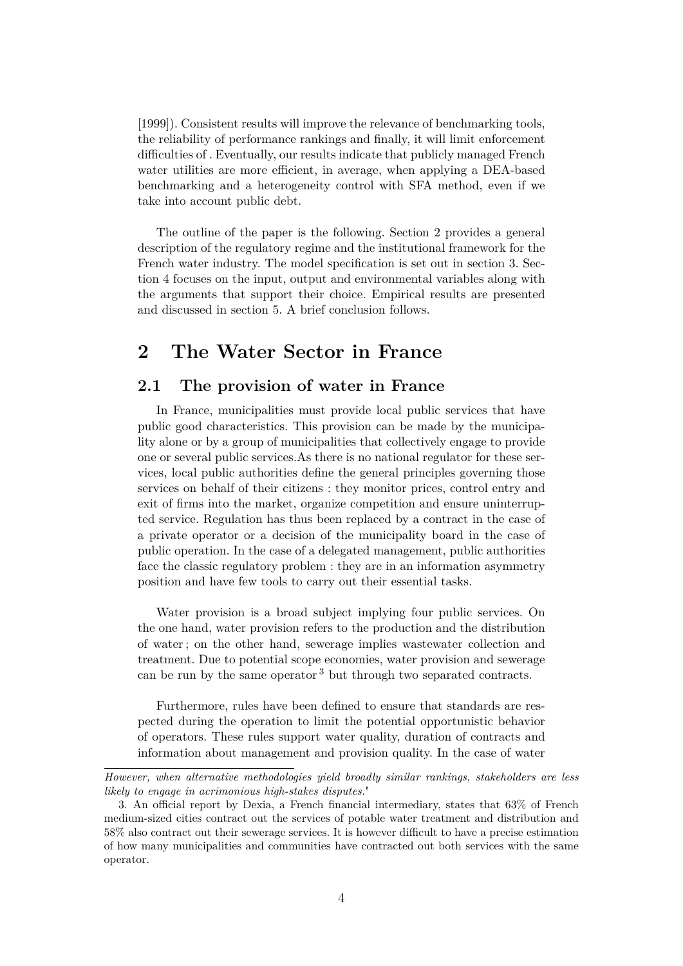[\[1999\]](#page-18-5)). Consistent results will improve the relevance of benchmarking tools, the reliability of performance rankings and finally, it will limit enforcement difficulties of . Eventually, our results indicate that publicly managed French water utilities are more efficient, in average, when applying a DEA-based benchmarking and a heterogeneity control with SFA method, even if we take into account public debt.

The outline of the paper is the following. Section [2](#page-3-0) provides a general description of the regulatory regime and the institutional framework for the French water industry. The model specification is set out in section [3.](#page-5-0) Section [4](#page-6-0) focuses on the input, output and environmental variables along with the arguments that support their choice. Empirical results are presented and discussed in section [5.](#page-13-0) A brief conclusion follows.

# <span id="page-3-0"></span>**2 The Water Sector in France**

### **2.1 The provision of water in France**

In France, municipalities must provide local public services that have public good characteristics. This provision can be made by the municipality alone or by a group of municipalities that collectively engage to provide one or several public services.As there is no national regulator for these services, local public authorities define the general principles governing those services on behalf of their citizens : they monitor prices, control entry and exit of firms into the market, organize competition and ensure uninterrupted service. Regulation has thus been replaced by a contract in the case of a private operator or a decision of the municipality board in the case of public operation. In the case of a delegated management, public authorities face the classic regulatory problem : they are in an information asymmetry position and have few tools to carry out their essential tasks.

Water provision is a broad subject implying four public services. On the one hand, water provision refers to the production and the distribution of water ; on the other hand, sewerage implies wastewater collection and treatment. Due to potential scope economies, water provision and sewerage can be run by the same operator <sup>3</sup> but through two separated contracts.

Furthermore, rules have been defined to ensure that standards are respected during the operation to limit the potential opportunistic behavior of operators. These rules support water quality, duration of contracts and information about management and provision quality. In the case of water

*However, when alternative methodologies yield broadly similar rankings, stakeholders are less likely to engage in acrimonious high-stakes disputes.*"

<sup>3.</sup> An official report by Dexia, a French financial intermediary, states that 63% of French medium-sized cities contract out the services of potable water treatment and distribution and 58% also contract out their sewerage services. It is however difficult to have a precise estimation of how many municipalities and communities have contracted out both services with the same operator.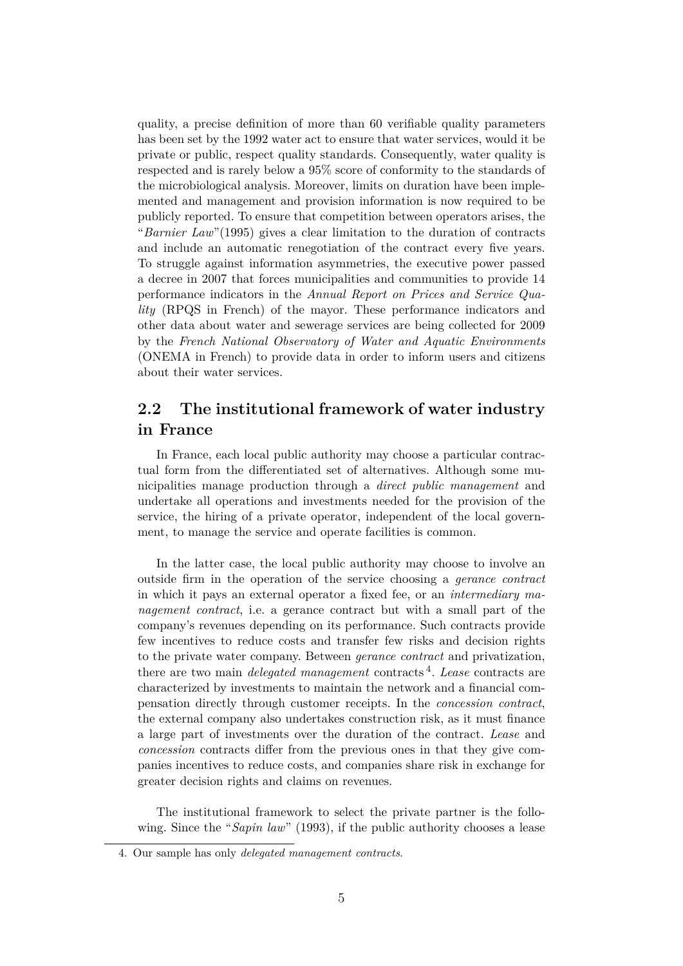quality, a precise definition of more than 60 verifiable quality parameters has been set by the 1992 water act to ensure that water services, would it be private or public, respect quality standards. Consequently, water quality is respected and is rarely below a 95% score of conformity to the standards of the microbiological analysis. Moreover, limits on duration have been implemented and management and provision information is now required to be publicly reported. To ensure that competition between operators arises, the "*Barnier Law*"(1995) gives a clear limitation to the duration of contracts and include an automatic renegotiation of the contract every five years. To struggle against information asymmetries, the executive power passed a decree in 2007 that forces municipalities and communities to provide 14 performance indicators in the *Annual Report on Prices and Service Quality* (RPQS in French) of the mayor. These performance indicators and other data about water and sewerage services are being collected for 2009 by the *French National Observatory of Water and Aquatic Environments* (ONEMA in French) to provide data in order to inform users and citizens about their water services.

### **2.2 The institutional framework of water industry in France**

In France, each local public authority may choose a particular contractual form from the differentiated set of alternatives. Although some municipalities manage production through a *direct public management* and undertake all operations and investments needed for the provision of the service, the hiring of a private operator, independent of the local government, to manage the service and operate facilities is common.

In the latter case, the local public authority may choose to involve an outside firm in the operation of the service choosing a *gerance contract* in which it pays an external operator a fixed fee, or an *intermediary management contract*, i.e. a gerance contract but with a small part of the company's revenues depending on its performance. Such contracts provide few incentives to reduce costs and transfer few risks and decision rights to the private water company. Between *gerance contract* and privatization, there are two main *delegated management* contracts <sup>4</sup> . *Lease* contracts are characterized by investments to maintain the network and a financial compensation directly through customer receipts. In the *concession contract*, the external company also undertakes construction risk, as it must finance a large part of investments over the duration of the contract. *Lease* and *concession* contracts differ from the previous ones in that they give companies incentives to reduce costs, and companies share risk in exchange for greater decision rights and claims on revenues.

The institutional framework to select the private partner is the following. Since the "*Sapin law*" (1993), if the public authority chooses a lease

<sup>4.</sup> Our sample has only *delegated management contracts*.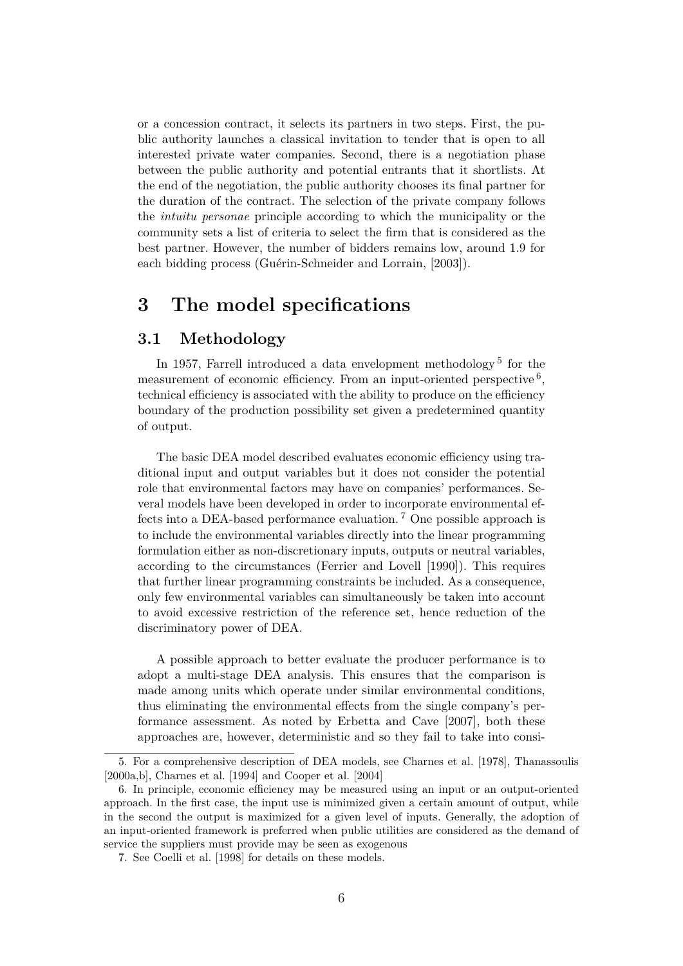or a concession contract, it selects its partners in two steps. First, the public authority launches a classical invitation to tender that is open to all interested private water companies. Second, there is a negotiation phase between the public authority and potential entrants that it shortlists. At the end of the negotiation, the public authority chooses its final partner for the duration of the contract. The selection of the private company follows the *intuitu personae* principle according to which the municipality or the community sets a list of criteria to select the firm that is considered as the best partner. However, the number of bidders remains low, around 1.9 for each bidding process (Guérin-Schneider and Lorrain, [2003]).

### <span id="page-5-0"></span>**3 The model specifications**

#### **3.1 Methodology**

In 1957, Farrell introduced a data envelopment methodology<sup>5</sup> for the measurement of economic efficiency. From an input-oriented perspective  $6$ , technical efficiency is associated with the ability to produce on the efficiency boundary of the production possibility set given a predetermined quantity of output.

The basic DEA model described evaluates economic efficiency using traditional input and output variables but it does not consider the potential role that environmental factors may have on companies' performances. Several models have been developed in order to incorporate environmental effects into a DEA-based performance evaluation. <sup>7</sup> One possible approach is to include the environmental variables directly into the linear programming formulation either as non-discretionary inputs, outputs or neutral variables, according to the circumstances [\(Ferrier and Lovell](#page-17-5) [\[1990\]](#page-17-5)). This requires that further linear programming constraints be included. As a consequence, only few environmental variables can simultaneously be taken into account to avoid excessive restriction of the reference set, hence reduction of the discriminatory power of DEA.

A possible approach to better evaluate the producer performance is to adopt a multi-stage DEA analysis. This ensures that the comparison is made among units which operate under similar environmental conditions, thus eliminating the environmental effects from the single company's performance assessment. As noted by [Erbetta and Cave](#page-16-3) [\[2007\]](#page-16-3), both these approaches are, however, deterministic and so they fail to take into consi-

<sup>5.</sup> For a comprehensive description of DEA models, see [Charnes et al.](#page-16-4) [\[1978\]](#page-16-4), [Thanassoulis](#page-18-6) [\[2000a](#page-18-6)[,b\]](#page-18-7), [Charnes et al.](#page-16-5) [\[1994\]](#page-16-5) and [Cooper et al.](#page-16-6) [\[2004\]](#page-16-6)

<sup>6.</sup> In principle, economic efficiency may be measured using an input or an output-oriented approach. In the first case, the input use is minimized given a certain amount of output, while in the second the output is maximized for a given level of inputs. Generally, the adoption of an input-oriented framework is preferred when public utilities are considered as the demand of service the suppliers must provide may be seen as exogenous

<sup>7.</sup> See [Coelli et al.](#page-16-7) [\[1998\]](#page-16-7) for details on these models.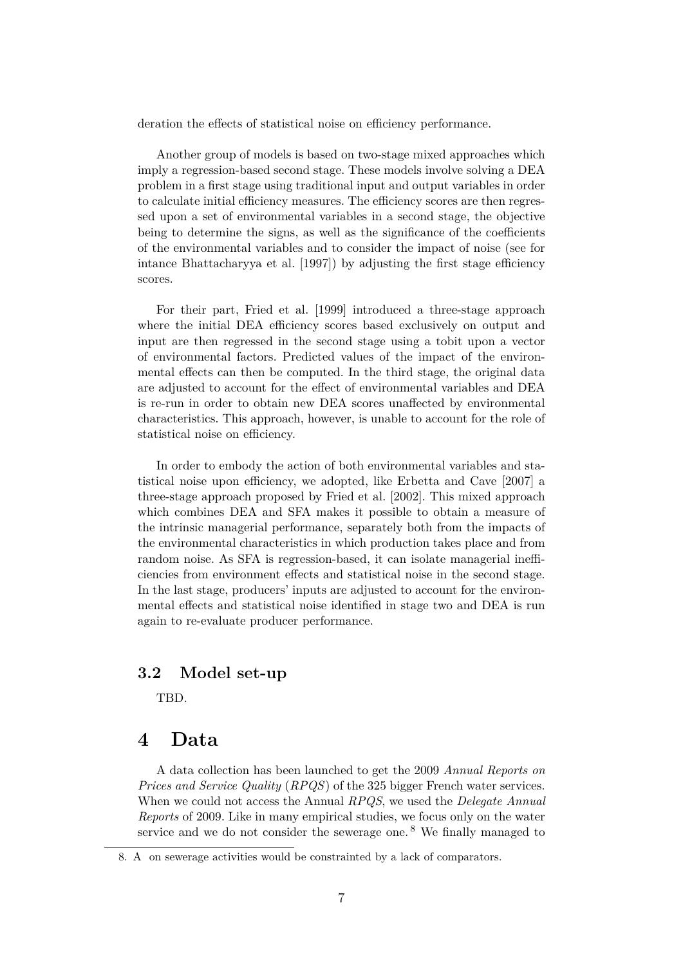deration the effects of statistical noise on efficiency performance.

Another group of models is based on two-stage mixed approaches which imply a regression-based second stage. These models involve solving a DEA problem in a first stage using traditional input and output variables in order to calculate initial efficiency measures. The efficiency scores are then regressed upon a set of environmental variables in a second stage, the objective being to determine the signs, as well as the significance of the coefficients of the environmental variables and to consider the impact of noise (see for intance [Bhattacharyya et al.](#page-15-3) [\[1997\]](#page-15-3)) by adjusting the first stage efficiency scores.

For their part, [Fried et al.](#page-17-6) [\[1999\]](#page-17-6) introduced a three-stage approach where the initial DEA efficiency scores based exclusively on output and input are then regressed in the second stage using a tobit upon a vector of environmental factors. Predicted values of the impact of the environmental effects can then be computed. In the third stage, the original data are adjusted to account for the effect of environmental variables and DEA is re-run in order to obtain new DEA scores unaffected by environmental characteristics. This approach, however, is unable to account for the role of statistical noise on efficiency.

In order to embody the action of both environmental variables and statistical noise upon efficiency, we adopted, like [Erbetta and Cave](#page-16-3) [\[2007\]](#page-16-3) a three-stage approach proposed by [Fried et al.](#page-17-7) [\[2002\]](#page-17-7). This mixed approach which combines DEA and SFA makes it possible to obtain a measure of the intrinsic managerial performance, separately both from the impacts of the environmental characteristics in which production takes place and from random noise. As SFA is regression-based, it can isolate managerial inefficiencies from environment effects and statistical noise in the second stage. In the last stage, producers' inputs are adjusted to account for the environmental effects and statistical noise identified in stage two and DEA is run again to re-evaluate producer performance.

#### **3.2 Model set-up**

TBD.

### <span id="page-6-0"></span>**4 Data**

A data collection has been launched to get the 2009 *Annual Reports on Prices and Service Quality* (*RPQS*) of the 325 bigger French water services. When we could not access the Annual *RPQS*, we used the *Delegate Annual Reports* of 2009. Like in many empirical studies, we focus only on the water service and we do not consider the sewerage one.<sup>8</sup> We finally managed to

<sup>8.</sup> A on sewerage activities would be constrainted by a lack of comparators.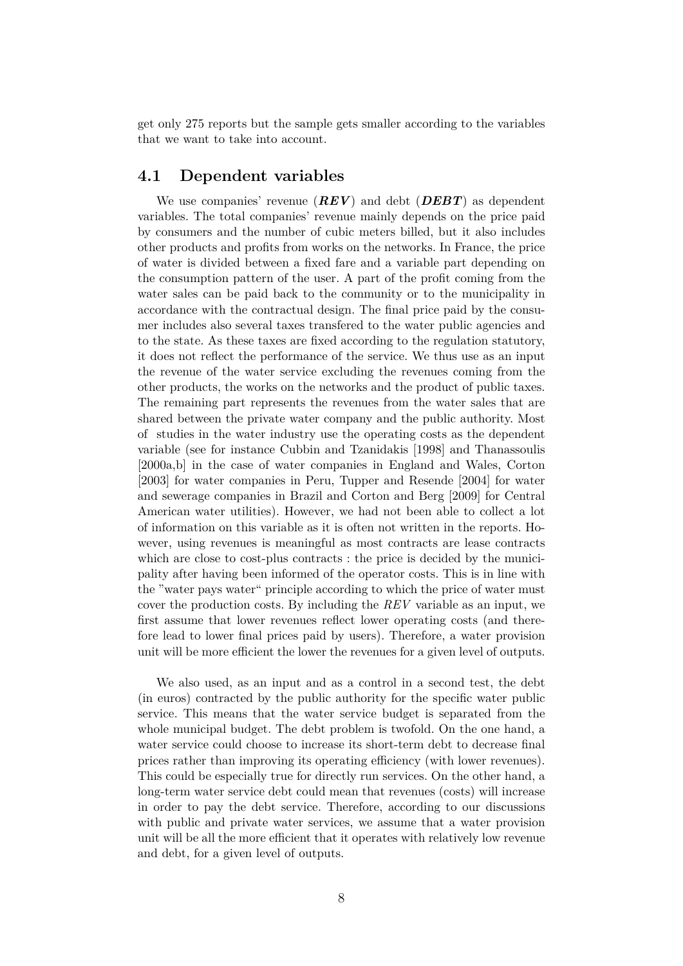get only 275 reports but the sample gets smaller according to the variables that we want to take into account.

#### **4.1 Dependent variables**

We use companies' revenue (*REV*) and debt (*DEBT*) as dependent variables. The total companies' revenue mainly depends on the price paid by consumers and the number of cubic meters billed, but it also includes other products and profits from works on the networks. In France, the price of water is divided between a fixed fare and a variable part depending on the consumption pattern of the user. A part of the profit coming from the water sales can be paid back to the community or to the municipality in accordance with the contractual design. The final price paid by the consumer includes also several taxes transfered to the water public agencies and to the state. As these taxes are fixed according to the regulation statutory, it does not reflect the performance of the service. We thus use as an input the revenue of the water service excluding the revenues coming from the other products, the works on the networks and the product of public taxes. The remaining part represents the revenues from the water sales that are shared between the private water company and the public authority. Most of studies in the water industry use the operating costs as the dependent variable (see for instance [Cubbin and Tzanidakis](#page-16-8) [\[1998\]](#page-16-8) and [Thanassoulis](#page-18-6) [\[2000a](#page-18-6)[,b\]](#page-18-7) in the case of water companies in England and Wales, [Corton](#page-16-9) [\[2003\]](#page-16-9) for water companies in Peru, [Tupper and Resende](#page-18-8) [\[2004\]](#page-18-8) for water and sewerage companies in Brazil and [Corton and Berg](#page-16-10) [\[2009\]](#page-16-10) for Central American water utilities). However, we had not been able to collect a lot of information on this variable as it is often not written in the reports. However, using revenues is meaningful as most contracts are lease contracts which are close to cost-plus contracts : the price is decided by the municipality after having been informed of the operator costs. This is in line with the "water pays water" principle according to which the price of water must cover the production costs. By including the *REV* variable as an input, we first assume that lower revenues reflect lower operating costs (and therefore lead to lower final prices paid by users). Therefore, a water provision unit will be more efficient the lower the revenues for a given level of outputs.

We also used, as an input and as a control in a second test, the debt (in euros) contracted by the public authority for the specific water public service. This means that the water service budget is separated from the whole municipal budget. The debt problem is twofold. On the one hand, a water service could choose to increase its short-term debt to decrease final prices rather than improving its operating efficiency (with lower revenues). This could be especially true for directly run services. On the other hand, a long-term water service debt could mean that revenues (costs) will increase in order to pay the debt service. Therefore, according to our discussions with public and private water services, we assume that a water provision unit will be all the more efficient that it operates with relatively low revenue and debt, for a given level of outputs.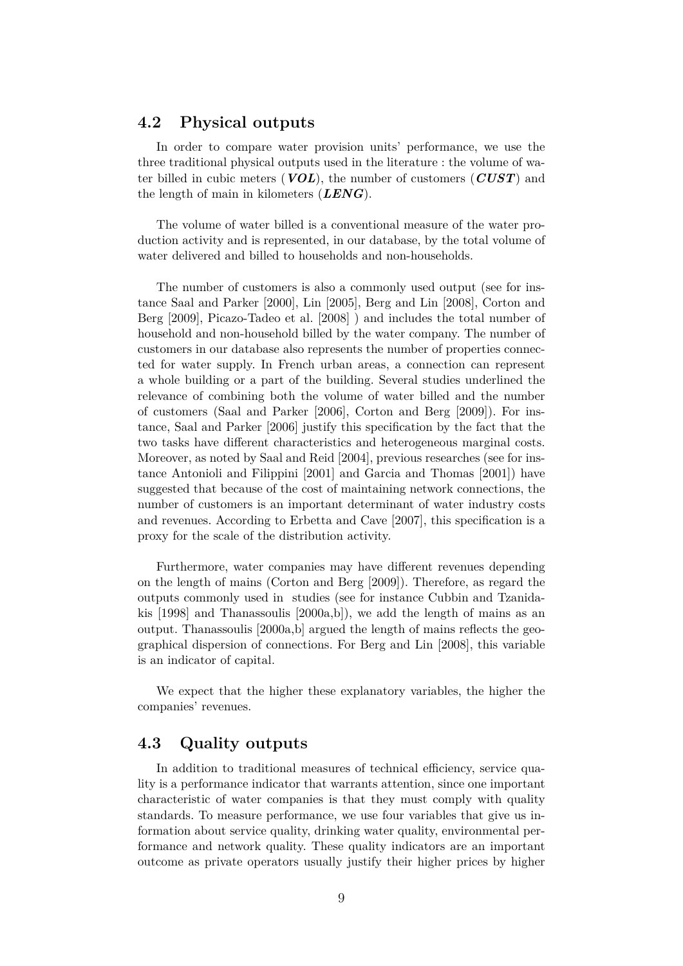#### **4.2 Physical outputs**

In order to compare water provision units' performance, we use the three traditional physical outputs used in the literature : the volume of water billed in cubic meters (*VOL*), the number of customers (*CUST*) and the length of main in kilometers (*LENG*).

The volume of water billed is a conventional measure of the water production activity and is represented, in our database, by the total volume of water delivered and billed to households and non-households.

The number of customers is also a commonly used output (see for instance [Saal and Parker](#page-18-2) [\[2000\]](#page-18-2), [Lin](#page-17-8) [\[2005\]](#page-17-8), [Berg and Lin](#page-15-2) [\[2008\]](#page-15-2), [Corton and](#page-16-10) [Berg](#page-16-10) [\[2009\]](#page-16-10), [Picazo-Tadeo et al.](#page-17-9) [\[2008\]](#page-17-9) ) and includes the total number of household and non-household billed by the water company. The number of customers in our database also represents the number of properties connected for water supply. In French urban areas, a connection can represent a whole building or a part of the building. Several studies underlined the relevance of combining both the volume of water billed and the number of customers [\(Saal and Parker](#page-18-9) [\[2006\]](#page-18-9), [Corton and Berg](#page-16-10) [\[2009\]](#page-16-10)). For instance, [Saal and Parker](#page-18-9) [\[2006\]](#page-18-9) justify this specification by the fact that the two tasks have different characteristics and heterogeneous marginal costs. Moreover, as noted by [Saal and Reid](#page-18-10) [\[2004\]](#page-18-10), previous researches (see for instance [Antonioli and Filippini](#page-15-4) [\[2001\]](#page-15-4) and [Garcia and Thomas](#page-17-10) [\[2001\]](#page-17-10)) have suggested that because of the cost of maintaining network connections, the number of customers is an important determinant of water industry costs and revenues. According to [Erbetta and Cave](#page-16-3) [\[2007\]](#page-16-3), this specification is a proxy for the scale of the distribution activity.

Furthermore, water companies may have different revenues depending on the length of mains [\(Corton and Berg](#page-16-10) [\[2009\]](#page-16-10)). Therefore, as regard the outputs commonly used in studies (see for instance [Cubbin and Tzanida](#page-16-8)[kis](#page-16-8)  $[1998]$  and [Thanassoulis](#page-18-6)  $[2000a,b]$  $[2000a,b]$ , we add the length of mains as an output. [Thanassoulis](#page-18-6) [\[2000a,](#page-18-6)[b\]](#page-18-7) argued the length of mains reflects the geographical dispersion of connections. For [Berg and Lin](#page-15-2) [\[2008\]](#page-15-2), this variable is an indicator of capital.

We expect that the higher these explanatory variables, the higher the companies' revenues.

#### **4.3 Quality outputs**

In addition to traditional measures of technical efficiency, service quality is a performance indicator that warrants attention, since one important characteristic of water companies is that they must comply with quality standards. To measure performance, we use four variables that give us information about service quality, drinking water quality, environmental performance and network quality. These quality indicators are an important outcome as private operators usually justify their higher prices by higher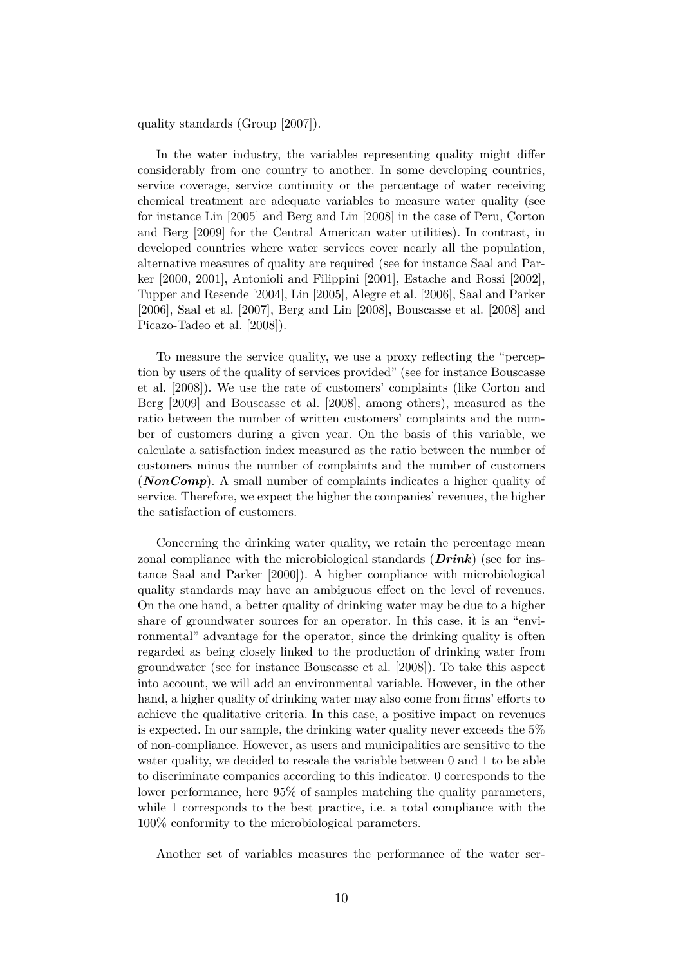quality standards [\(Group](#page-17-4) [\[2007\]](#page-17-4)).

In the water industry, the variables representing quality might differ considerably from one country to another. In some developing countries, service coverage, service continuity or the percentage of water receiving chemical treatment are adequate variables to measure water quality (see for instance [Lin](#page-17-8) [\[2005\]](#page-17-8) and [Berg and Lin](#page-15-2) [\[2008\]](#page-15-2) in the case of Peru, [Corton](#page-16-10) [and Berg](#page-16-10) [\[2009\]](#page-16-10) for the Central American water utilities). In contrast, in developed countries where water services cover nearly all the population, alternative measures of quality are required (see for instance [Saal and Par](#page-18-2)[ker](#page-18-2) [\[2000,](#page-18-2) [2001\]](#page-18-3), [Antonioli and Filippini](#page-15-4) [\[2001\]](#page-15-4), [Estache and Rossi](#page-17-2) [\[2002\]](#page-17-2), [Tupper and Resende](#page-18-8) [\[2004\]](#page-18-8), [Lin](#page-17-8) [\[2005\]](#page-17-8), [Alegre et al.](#page-15-5) [\[2006\]](#page-15-5), [Saal and Parker](#page-18-9) [\[2006\]](#page-18-9), [Saal et al.](#page-18-1) [\[2007\]](#page-18-1), [Berg and Lin](#page-15-2) [\[2008\]](#page-15-2), [Bouscasse et al.](#page-16-11) [\[2008\]](#page-16-11) and [Picazo-Tadeo et al.](#page-17-9) [\[2008\]](#page-17-9)).

To measure the service quality, we use a proxy reflecting the "perception by users of the quality of services provided" (see for instance [Bouscasse](#page-16-11) [et al.](#page-16-11) [\[2008\]](#page-16-11)). We use the rate of customers' complaints (like [Corton and](#page-16-10) [Berg](#page-16-10) [\[2009\]](#page-16-10) and [Bouscasse et al.](#page-16-11) [\[2008\]](#page-16-11), among others), measured as the ratio between the number of written customers' complaints and the number of customers during a given year. On the basis of this variable, we calculate a satisfaction index measured as the ratio between the number of customers minus the number of complaints and the number of customers (*NonComp*). A small number of complaints indicates a higher quality of service. Therefore, we expect the higher the companies' revenues, the higher the satisfaction of customers.

Concerning the drinking water quality, we retain the percentage mean zonal compliance with the microbiological standards (*Drink*) (see for instance [Saal and Parker](#page-18-2) [\[2000\]](#page-18-2)). A higher compliance with microbiological quality standards may have an ambiguous effect on the level of revenues. On the one hand, a better quality of drinking water may be due to a higher share of groundwater sources for an operator. In this case, it is an "environmental" advantage for the operator, since the drinking quality is often regarded as being closely linked to the production of drinking water from groundwater (see for instance [Bouscasse et al.](#page-16-11) [\[2008\]](#page-16-11)). To take this aspect into account, we will add an environmental variable. However, in the other hand, a higher quality of drinking water may also come from firms' efforts to achieve the qualitative criteria. In this case, a positive impact on revenues is expected. In our sample, the drinking water quality never exceeds the 5% of non-compliance. However, as users and municipalities are sensitive to the water quality, we decided to rescale the variable between 0 and 1 to be able to discriminate companies according to this indicator. 0 corresponds to the lower performance, here 95% of samples matching the quality parameters, while 1 corresponds to the best practice, i.e. a total compliance with the 100% conformity to the microbiological parameters.

Another set of variables measures the performance of the water ser-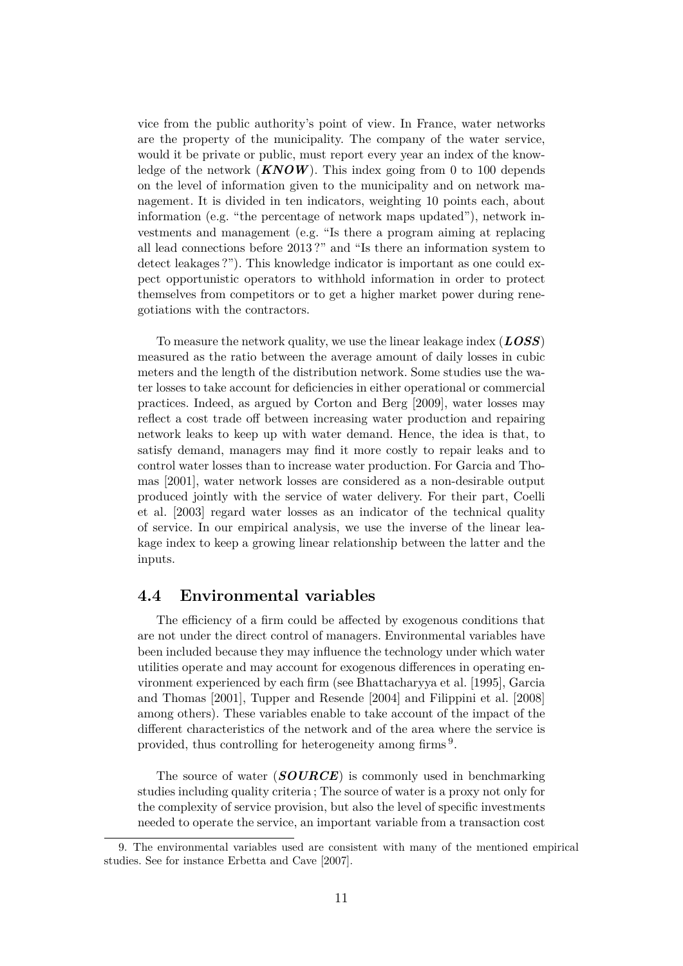vice from the public authority's point of view. In France, water networks are the property of the municipality. The company of the water service, would it be private or public, must report every year an index of the knowledge of the network (*KNOW*). This index going from 0 to 100 depends on the level of information given to the municipality and on network management. It is divided in ten indicators, weighting 10 points each, about information (e.g. "the percentage of network maps updated"), network investments and management (e.g. "Is there a program aiming at replacing all lead connections before 2013 ?" and "Is there an information system to detect leakages ?"). This knowledge indicator is important as one could expect opportunistic operators to withhold information in order to protect themselves from competitors or to get a higher market power during renegotiations with the contractors.

To measure the network quality, we use the linear leakage index (*LOSS*) measured as the ratio between the average amount of daily losses in cubic meters and the length of the distribution network. Some studies use the water losses to take account for deficiencies in either operational or commercial practices. Indeed, as argued by [Corton and Berg](#page-16-10) [\[2009\]](#page-16-10), water losses may reflect a cost trade off between increasing water production and repairing network leaks to keep up with water demand. Hence, the idea is that, to satisfy demand, managers may find it more costly to repair leaks and to control water losses than to increase water production. For [Garcia and Tho](#page-17-10)[mas](#page-17-10) [\[2001\]](#page-17-10), water network losses are considered as a non-desirable output produced jointly with the service of water delivery. For their part, [Coelli](#page-16-12) [et al.](#page-16-12) [\[2003\]](#page-16-12) regard water losses as an indicator of the technical quality of service. In our empirical analysis, we use the inverse of the linear leakage index to keep a growing linear relationship between the latter and the inputs.

### **4.4 Environmental variables**

The efficiency of a firm could be affected by exogenous conditions that are not under the direct control of managers. Environmental variables have been included because they may influence the technology under which water utilities operate and may account for exogenous differences in operating environment experienced by each firm (see [Bhattacharyya et al.](#page-15-0) [\[1995\]](#page-15-0), [Garcia](#page-17-10) [and Thomas](#page-17-10) [\[2001\]](#page-17-10), [Tupper and Resende](#page-18-8) [\[2004\]](#page-18-8) and [Filippini et al.](#page-17-11) [\[2008\]](#page-17-11) among others). These variables enable to take account of the impact of the different characteristics of the network and of the area where the service is provided, thus controlling for heterogeneity among firms<sup>9</sup>.

The source of water (*SOURCE*) is commonly used in benchmarking studies including quality criteria ; The source of water is a proxy not only for the complexity of service provision, but also the level of specific investments needed to operate the service, an important variable from a transaction cost

<sup>9.</sup> The environmental variables used are consistent with many of the mentioned empirical studies. See for instance [Erbetta and Cave](#page-16-3) [\[2007\]](#page-16-3).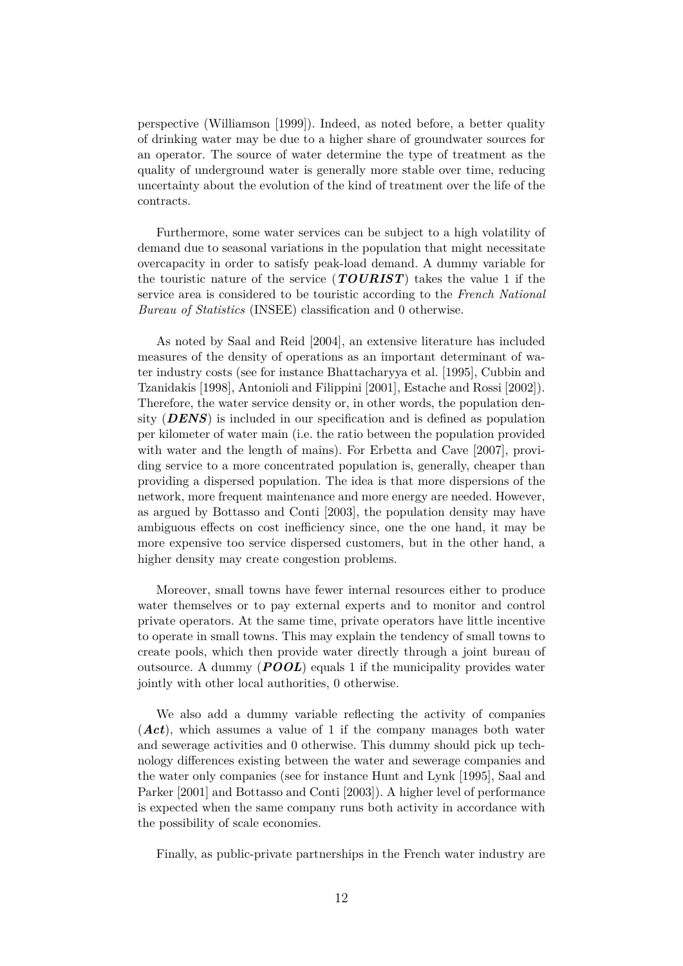perspective [\(Williamson](#page-18-11) [\[1999\]](#page-18-11)). Indeed, as noted before, a better quality of drinking water may be due to a higher share of groundwater sources for an operator. The source of water determine the type of treatment as the quality of underground water is generally more stable over time, reducing uncertainty about the evolution of the kind of treatment over the life of the contracts.

Furthermore, some water services can be subject to a high volatility of demand due to seasonal variations in the population that might necessitate overcapacity in order to satisfy peak-load demand. A dummy variable for the touristic nature of the service (*TOURIST*) takes the value 1 if the service area is considered to be touristic according to the *French National Bureau of Statistics* (INSEE) classification and 0 otherwise.

As noted by [Saal and Reid](#page-18-10) [\[2004\]](#page-18-10), an extensive literature has included measures of the density of operations as an important determinant of water industry costs (see for instance [Bhattacharyya et al.](#page-15-0) [\[1995\]](#page-15-0), [Cubbin and](#page-16-8) [Tzanidakis](#page-16-8) [\[1998\]](#page-16-8), [Antonioli and Filippini](#page-15-4) [\[2001\]](#page-15-4), [Estache and Rossi](#page-17-2) [\[2002\]](#page-17-2)). Therefore, the water service density or, in other words, the population density (*DENS*) is included in our specification and is defined as population per kilometer of water main (i.e. the ratio between the population provided with water and the length of mains). For [Erbetta and Cave](#page-16-3) [\[2007\]](#page-16-3), providing service to a more concentrated population is, generally, cheaper than providing a dispersed population. The idea is that more dispersions of the network, more frequent maintenance and more energy are needed. However, as argued by [Bottasso and Conti](#page-15-6) [\[2003\]](#page-15-6), the population density may have ambiguous effects on cost inefficiency since, one the one hand, it may be more expensive too service dispersed customers, but in the other hand, a higher density may create congestion problems.

Moreover, small towns have fewer internal resources either to produce water themselves or to pay external experts and to monitor and control private operators. At the same time, private operators have little incentive to operate in small towns. This may explain the tendency of small towns to create pools, which then provide water directly through a joint bureau of outsource. A dummy (*POOL*) equals 1 if the municipality provides water jointly with other local authorities, 0 otherwise.

We also add a dummy variable reflecting the activity of companies (*Act*), which assumes a value of 1 if the company manages both water and sewerage activities and 0 otherwise. This dummy should pick up technology differences existing between the water and sewerage companies and the water only companies (see for instance [Hunt and Lynk](#page-17-12) [\[1995\]](#page-17-12), [Saal and](#page-18-3) [Parker](#page-18-3) [\[2001\]](#page-18-3) and [Bottasso and Conti](#page-15-6) [\[2003\]](#page-15-6)). A higher level of performance is expected when the same company runs both activity in accordance with the possibility of scale economies.

Finally, as public-private partnerships in the French water industry are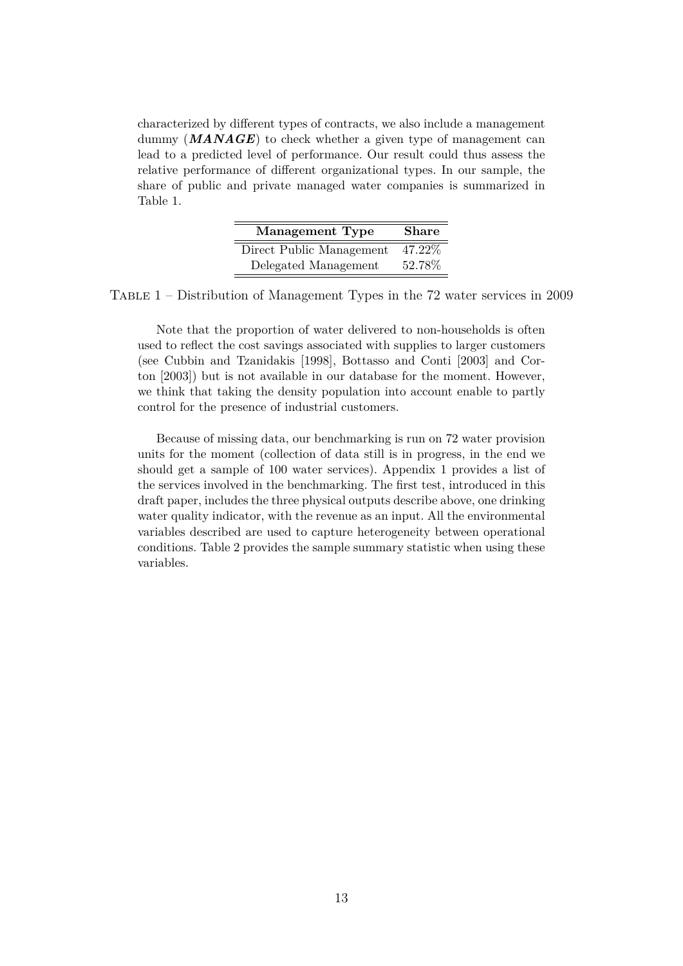characterized by different types of contracts, we also include a management dummy (**MANAGE**) to check whether a given type of management can lead to a predicted level of performance. Our result could thus assess the relative performance of different organizational types. In our sample, the share of public and private managed water companies is summarized in Table [1.](#page-12-0)

| Management Type          | <b>Share</b> |
|--------------------------|--------------|
| Direct Public Management | 47.22%       |
| Delegated Management     | 52.78%       |

TABLE  $1$  – Distribution of Management Types in the 72 water services in 2009

<span id="page-12-0"></span>Note that the proportion of water delivered to non-households is often used to reflect the cost savings associated with supplies to larger customers (see [Cubbin and Tzanidakis](#page-16-8) [\[1998\]](#page-16-8), [Bottasso and Conti](#page-15-6) [\[2003\]](#page-15-6) and [Cor](#page-16-9)[ton](#page-16-9) [\[2003\]](#page-16-9)) but is not available in our database for the moment. However, we think that taking the density population into account enable to partly control for the presence of industrial customers.

Because of missing data, our benchmarking is run on 72 water provision units for the moment (collection of data still is in progress, in the end we should get a sample of 100 water services). Appendix 1 provides a list of the services involved in the benchmarking. The first test, introduced in this draft paper, includes the three physical outputs describe above, one drinking water quality indicator, with the revenue as an input. All the environmental variables described are used to capture heterogeneity between operational conditions. Table [2](#page-13-1) provides the sample summary statistic when using these variables.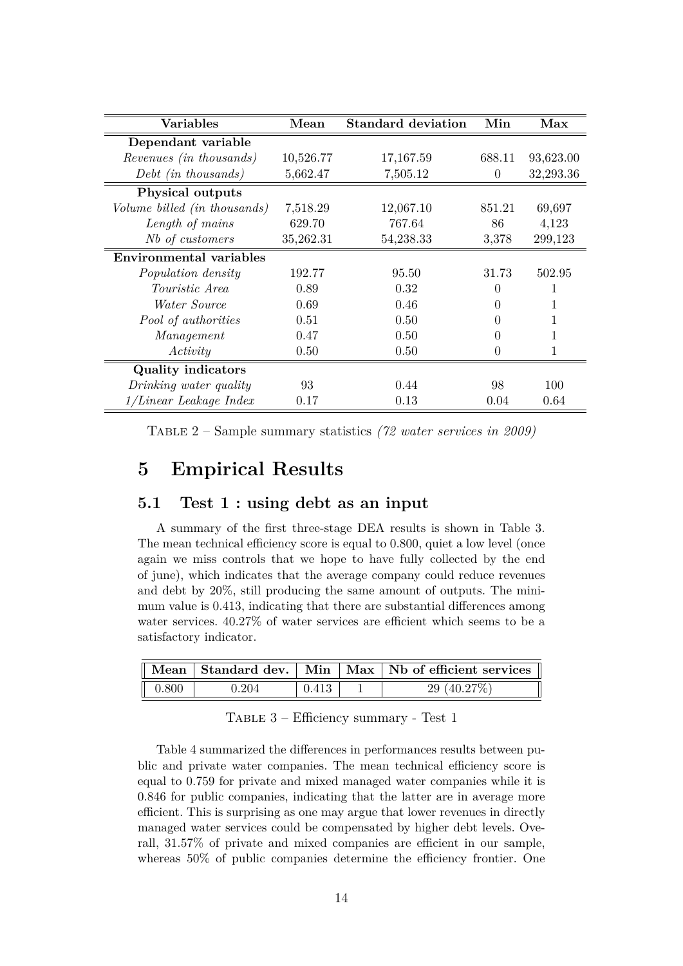| Variables                    | Mean      | <b>Standard deviation</b> | Min    | Max       |
|------------------------------|-----------|---------------------------|--------|-----------|
| Dependant variable           |           |                           |        |           |
| Revenues (in thousands)      | 10,526.77 | 17, 167.59                | 688.11 | 93,623.00 |
| $Debt$ (in thousands)        | 5,662.47  | 7,505.12                  | 0      | 32,293.36 |
| <b>Physical outputs</b>      |           |                           |        |           |
| Volume billed (in thousands) | 7,518.29  | 12,067.10                 | 851.21 | 69,697    |
| Length of mains              | 629.70    | 767.64                    | 86     | 4,123     |
| Nb of customers              | 35,262.31 | 54,238.33                 | 3,378  | 299,123   |
| Environmental variables      |           |                           |        |           |
| Population density           | 192.77    | 95.50                     | 31.73  | 502.95    |
| <i>Touristic Area</i>        | 0.89      | 0.32                      | 0      |           |
| <i>Water Source</i>          | 0.69      | 0.46                      | 0      | 1         |
| Pool of authorities          | 0.51      | 0.50                      |        |           |
| Management                   | 0.47      | 0.50                      |        | 1         |
| Activity                     | 0.50      | 0.50                      | 0      | 1         |
| <b>Quality indicators</b>    |           |                           |        |           |
| Drinking water quality       | 93        | 0.44                      | 98     | 100       |
| $1/Linear$ Leakage Index     | 0.17      | 0.13                      | 0.04   | 0.64      |

<span id="page-13-1"></span>Table 2 – Sample summary statistics *(72 water services in 2009)*

## <span id="page-13-0"></span>**5 Empirical Results**

#### **5.1 Test 1 : using debt as an input**

A summary of the first three-stage DEA results is shown in Table [3.](#page-13-2) The mean technical efficiency score is equal to 0.800, quiet a low level (once again we miss controls that we hope to have fully collected by the end of june), which indicates that the average company could reduce revenues and debt by 20%, still producing the same amount of outputs. The minimum value is 0.413, indicating that there are substantial differences among water services. 40.27% of water services are efficient which seems to be a satisfactory indicator.

|       |       |       | Mean Standard dev. Min Max Nb of efficient services |
|-------|-------|-------|-----------------------------------------------------|
| 0.800 | 0.204 | 0.413 | 29 $(40.27%)$                                       |

<span id="page-13-2"></span>Table 3 – Efficiency summary - Test 1

Table [4](#page-14-0) summarized the differences in performances results between public and private water companies. The mean technical efficiency score is equal to 0.759 for private and mixed managed water companies while it is 0.846 for public companies, indicating that the latter are in average more efficient. This is surprising as one may argue that lower revenues in directly managed water services could be compensated by higher debt levels. Overall, 31.57% of private and mixed companies are efficient in our sample, whereas 50% of public companies determine the efficiency frontier. One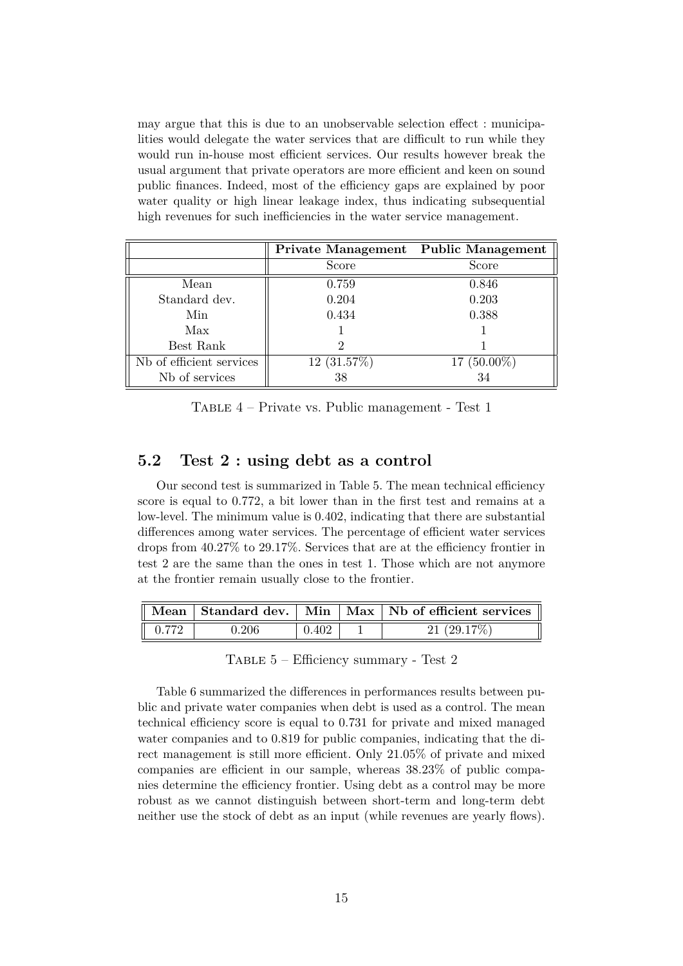may argue that this is due to an unobservable selection effect : municipalities would delegate the water services that are difficult to run while they would run in-house most efficient services. Our results however break the usual argument that private operators are more efficient and keen on sound public finances. Indeed, most of the efficiency gaps are explained by poor water quality or high linear leakage index, thus indicating subsequential high revenues for such inefficiencies in the water service management.

|                          | Private Management Public Management |               |
|--------------------------|--------------------------------------|---------------|
|                          | Score                                | Score         |
| Mean                     | 0.759                                | 0.846         |
| Standard dev.            | 0.204                                | 0.203         |
| Min                      | 0.434                                | 0.388         |
| Max                      |                                      |               |
| Best Rank                |                                      |               |
| Nb of efficient services | 12(31.57%)                           | $17(50.00\%)$ |
| Nb of services           | 38                                   | 34            |

<span id="page-14-0"></span>Table 4 – Private vs. Public management - Test 1

#### **5.2 Test 2 : using debt as a control**

Our second test is summarized in Table [5.](#page-14-1) The mean technical efficiency score is equal to 0.772, a bit lower than in the first test and remains at a low-level. The minimum value is 0.402, indicating that there are substantial differences among water services. The percentage of efficient water services drops from 40.27% to 29.17%. Services that are at the efficiency frontier in test 2 are the same than the ones in test 1. Those which are not anymore at the frontier remain usually close to the frontier.

| $\parallel$ Mean  |       |       | Standard dev.   Min   Max   Nb of efficient services |
|-------------------|-------|-------|------------------------------------------------------|
| $\parallel$ 0.772 | 0.206 | 0.402 | 21(29.17%)                                           |

<span id="page-14-1"></span>Table 5 – Efficiency summary - Test 2

Table [6](#page-15-7) summarized the differences in performances results between public and private water companies when debt is used as a control. The mean technical efficiency score is equal to 0.731 for private and mixed managed water companies and to 0.819 for public companies, indicating that the direct management is still more efficient. Only 21.05% of private and mixed companies are efficient in our sample, whereas 38.23% of public companies determine the efficiency frontier. Using debt as a control may be more robust as we cannot distinguish between short-term and long-term debt neither use the stock of debt as an input (while revenues are yearly flows).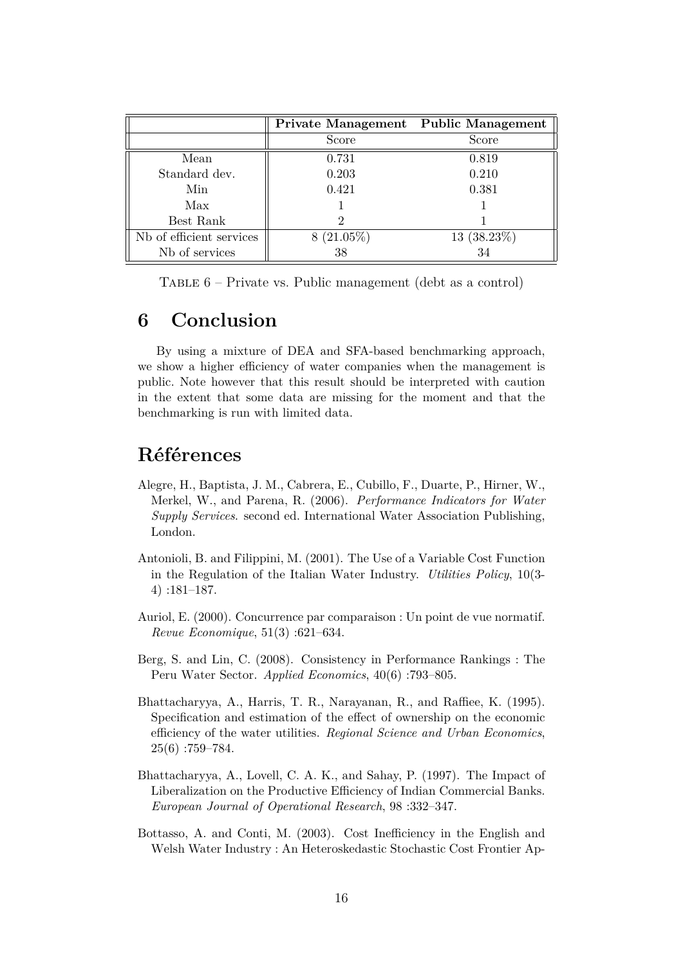|                          | Private Management Public Management |            |
|--------------------------|--------------------------------------|------------|
|                          | Score                                | Score      |
| Mean                     | 0.731                                | 0.819      |
| Standard dev.            | 0.203                                | 0.210      |
| Min                      | 0.421                                | 0.381      |
| Max                      |                                      |            |
| Best Rank                |                                      |            |
| Nb of efficient services | $8(21.05\%)$                         | 13(38.23%) |
| Nb of services           | 38                                   | 34         |

<span id="page-15-7"></span>TABLE  $6$  – Private vs. Public management (debt as a control)

### **6 Conclusion**

By using a mixture of DEA and SFA-based benchmarking approach, we show a higher efficiency of water companies when the management is public. Note however that this result should be interpreted with caution in the extent that some data are missing for the moment and that the benchmarking is run with limited data.

## **Références**

- <span id="page-15-5"></span>Alegre, H., Baptista, J. M., Cabrera, E., Cubillo, F., Duarte, P., Hirner, W., Merkel, W., and Parena, R. (2006). *Performance Indicators for Water Supply Services*. second ed. International Water Association Publishing, London.
- <span id="page-15-4"></span>Antonioli, B. and Filippini, M. (2001). The Use of a Variable Cost Function in the Regulation of the Italian Water Industry. *Utilities Policy*, 10(3- 4) :181–187.
- <span id="page-15-1"></span>Auriol, E. (2000). Concurrence par comparaison : Un point de vue normatif. *Revue Economique*, 51(3) :621–634.
- <span id="page-15-2"></span>Berg, S. and Lin, C. (2008). Consistency in Performance Rankings : The Peru Water Sector. *Applied Economics*, 40(6) :793–805.
- <span id="page-15-0"></span>Bhattacharyya, A., Harris, T. R., Narayanan, R., and Raffiee, K. (1995). Specification and estimation of the effect of ownership on the economic efficiency of the water utilities. *Regional Science and Urban Economics*, 25(6) :759–784.
- <span id="page-15-3"></span>Bhattacharyya, A., Lovell, C. A. K., and Sahay, P. (1997). The Impact of Liberalization on the Productive Efficiency of Indian Commercial Banks. *European Journal of Operational Research*, 98 :332–347.
- <span id="page-15-6"></span>Bottasso, A. and Conti, M. (2003). Cost Inefficiency in the English and Welsh Water Industry : An Heteroskedastic Stochastic Cost Frontier Ap-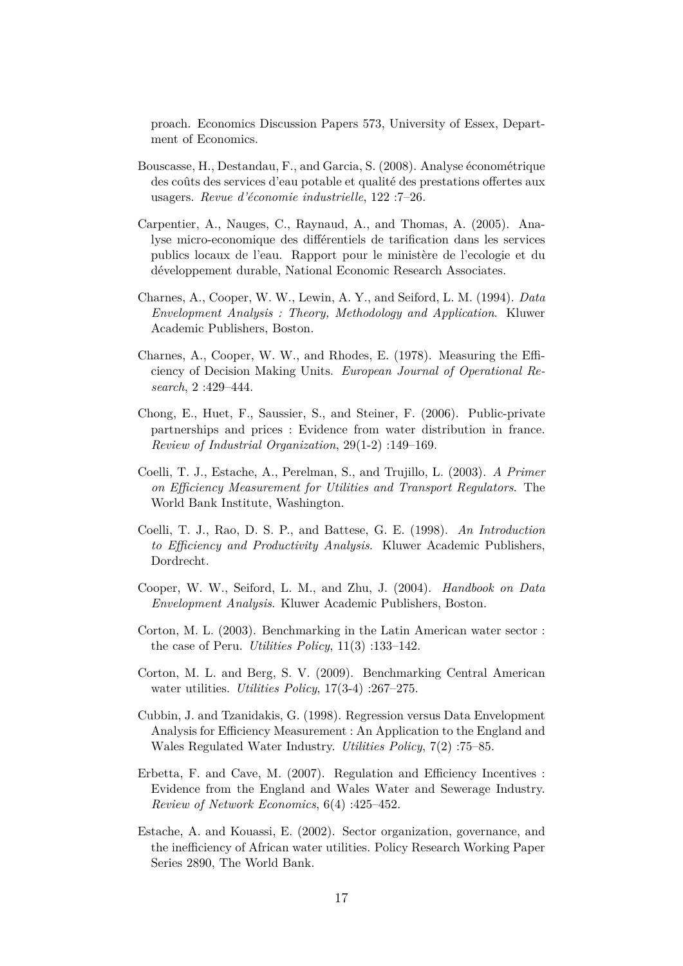proach. Economics Discussion Papers 573, University of Essex, Department of Economics.

- <span id="page-16-11"></span>Bouscasse, H., Destandau, F., and Garcia, S. (2008). Analyse économétrique des coûts des services d'eau potable et qualité des prestations offertes aux usagers. *Revue d'économie industrielle*, 122 :7–26.
- <span id="page-16-1"></span>Carpentier, A., Nauges, C., Raynaud, A., and Thomas, A. (2005). Analyse micro-economique des différentiels de tarification dans les services publics locaux de l'eau. Rapport pour le ministère de l'ecologie et du développement durable, National Economic Research Associates.
- <span id="page-16-5"></span>Charnes, A., Cooper, W. W., Lewin, A. Y., and Seiford, L. M. (1994). *Data Envelopment Analysis : Theory, Methodology and Application*. Kluwer Academic Publishers, Boston.
- <span id="page-16-4"></span>Charnes, A., Cooper, W. W., and Rhodes, E. (1978). Measuring the Efficiency of Decision Making Units. *European Journal of Operational Research*, 2 :429–444.
- <span id="page-16-2"></span>Chong, E., Huet, F., Saussier, S., and Steiner, F. (2006). Public-private partnerships and prices : Evidence from water distribution in france. *Review of Industrial Organization*, 29(1-2) :149–169.
- <span id="page-16-12"></span>Coelli, T. J., Estache, A., Perelman, S., and Trujillo, L. (2003). *A Primer on Efficiency Measurement for Utilities and Transport Regulators*. The World Bank Institute, Washington.
- <span id="page-16-7"></span>Coelli, T. J., Rao, D. S. P., and Battese, G. E. (1998). *An Introduction to Efficiency and Productivity Analysis*. Kluwer Academic Publishers, Dordrecht.
- <span id="page-16-6"></span>Cooper, W. W., Seiford, L. M., and Zhu, J. (2004). *Handbook on Data Envelopment Analysis*. Kluwer Academic Publishers, Boston.
- <span id="page-16-9"></span>Corton, M. L. (2003). Benchmarking in the Latin American water sector : the case of Peru. *Utilities Policy*, 11(3) :133–142.
- <span id="page-16-10"></span>Corton, M. L. and Berg, S. V. (2009). Benchmarking Central American water utilities. *Utilities Policy*, 17(3-4) :267–275.
- <span id="page-16-8"></span>Cubbin, J. and Tzanidakis, G. (1998). Regression versus Data Envelopment Analysis for Efficiency Measurement : An Application to the England and Wales Regulated Water Industry. *Utilities Policy*, 7(2) :75–85.
- <span id="page-16-3"></span>Erbetta, F. and Cave, M. (2007). Regulation and Efficiency Incentives : Evidence from the England and Wales Water and Sewerage Industry. *Review of Network Economics*, 6(4) :425–452.
- <span id="page-16-0"></span>Estache, A. and Kouassi, E. (2002). Sector organization, governance, and the inefficiency of African water utilities. Policy Research Working Paper Series 2890, The World Bank.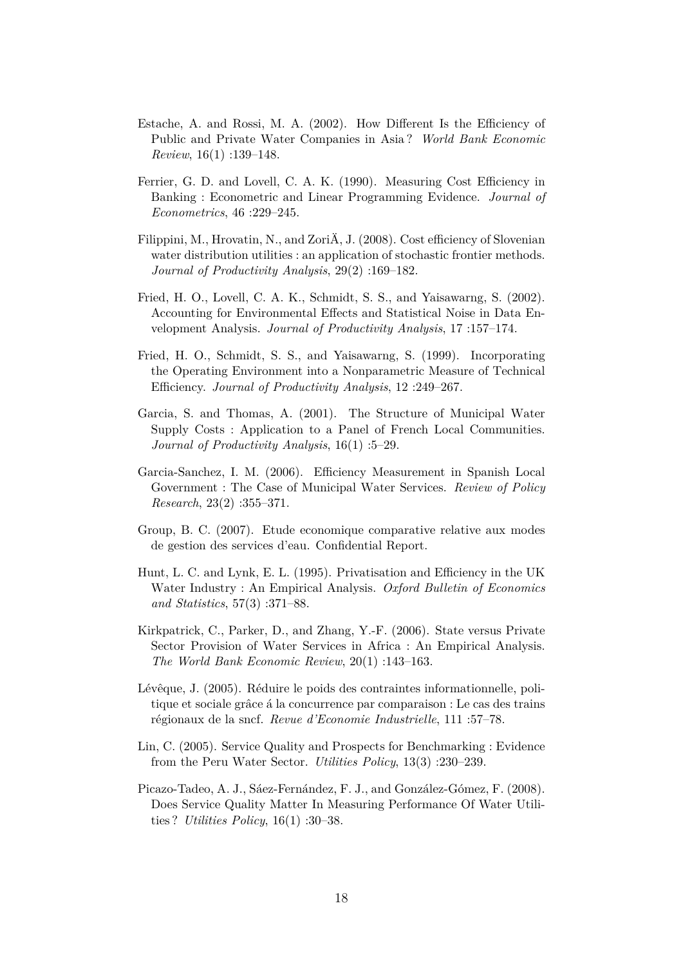- <span id="page-17-2"></span>Estache, A. and Rossi, M. A. (2002). How Different Is the Efficiency of Public and Private Water Companies in Asia ? *World Bank Economic Review*, 16(1) :139–148.
- <span id="page-17-5"></span>Ferrier, G. D. and Lovell, C. A. K. (1990). Measuring Cost Efficiency in Banking : Econometric and Linear Programming Evidence. *Journal of Econometrics*, 46 :229–245.
- <span id="page-17-11"></span>Filippini, M., Hrovatin, N., and ZoriÄ, J. (2008). Cost efficiency of Slovenian water distribution utilities : an application of stochastic frontier methods. *Journal of Productivity Analysis*, 29(2) :169–182.
- <span id="page-17-7"></span>Fried, H. O., Lovell, C. A. K., Schmidt, S. S., and Yaisawarng, S. (2002). Accounting for Environmental Effects and Statistical Noise in Data Envelopment Analysis. *Journal of Productivity Analysis*, 17 :157–174.
- <span id="page-17-6"></span>Fried, H. O., Schmidt, S. S., and Yaisawarng, S. (1999). Incorporating the Operating Environment into a Nonparametric Measure of Technical Efficiency. *Journal of Productivity Analysis*, 12 :249–267.
- <span id="page-17-10"></span>Garcia, S. and Thomas, A. (2001). The Structure of Municipal Water Supply Costs : Application to a Panel of French Local Communities. *Journal of Productivity Analysis*, 16(1) :5–29.
- <span id="page-17-0"></span>Garcia-Sanchez, I. M. (2006). Efficiency Measurement in Spanish Local Government : The Case of Municipal Water Services. *Review of Policy Research*, 23(2) :355–371.
- <span id="page-17-4"></span>Group, B. C. (2007). Etude economique comparative relative aux modes de gestion des services d'eau. Confidential Report.
- <span id="page-17-12"></span>Hunt, L. C. and Lynk, E. L. (1995). Privatisation and Efficiency in the UK Water Industry : An Empirical Analysis. *Oxford Bulletin of Economics and Statistics*, 57(3) :371–88.
- <span id="page-17-1"></span>Kirkpatrick, C., Parker, D., and Zhang, Y.-F. (2006). State versus Private Sector Provision of Water Services in Africa : An Empirical Analysis. *The World Bank Economic Review*, 20(1) :143–163.
- <span id="page-17-3"></span>Lévêque, J. (2005). Réduire le poids des contraintes informationnelle, politique et sociale grâce á la concurrence par comparaison : Le cas des trains régionaux de la sncf. *Revue d'Economie Industrielle*, 111 :57–78.
- <span id="page-17-8"></span>Lin, C. (2005). Service Quality and Prospects for Benchmarking : Evidence from the Peru Water Sector. *Utilities Policy*, 13(3) :230–239.
- <span id="page-17-9"></span>Picazo-Tadeo, A. J., Sáez-Fernández, F. J., and González-Gómez, F. (2008). Does Service Quality Matter In Measuring Performance Of Water Utilities ? *Utilities Policy*, 16(1) :30–38.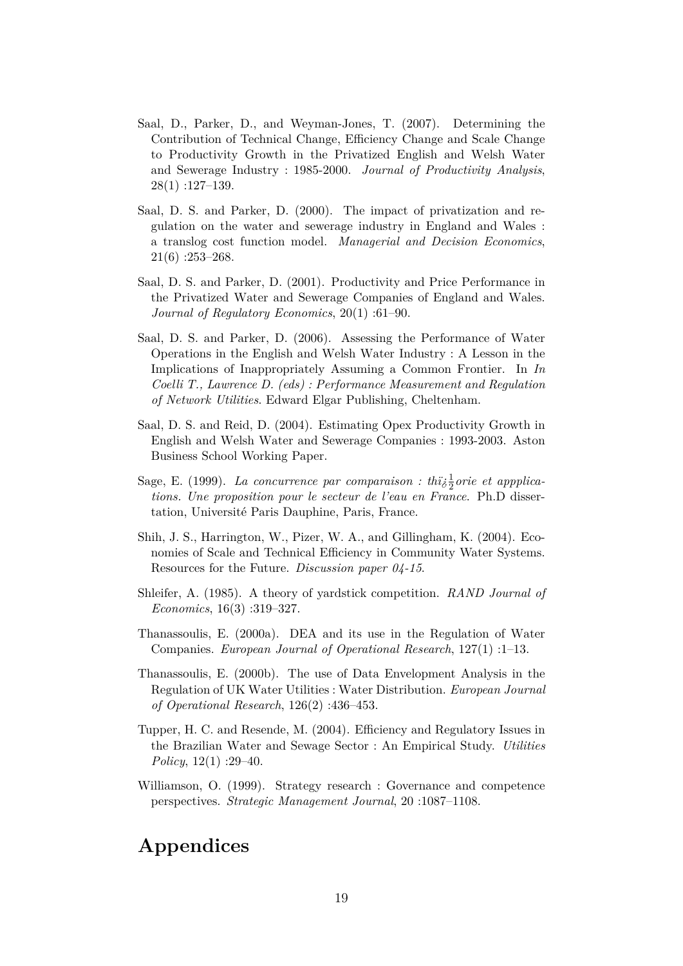- <span id="page-18-1"></span>Saal, D., Parker, D., and Weyman-Jones, T. (2007). Determining the Contribution of Technical Change, Efficiency Change and Scale Change to Productivity Growth in the Privatized English and Welsh Water and Sewerage Industry : 1985-2000. *Journal of Productivity Analysis*, 28(1) :127–139.
- <span id="page-18-2"></span>Saal, D. S. and Parker, D. (2000). The impact of privatization and regulation on the water and sewerage industry in England and Wales : a translog cost function model. *Managerial and Decision Economics*,  $21(6)$  :253-268.
- <span id="page-18-3"></span>Saal, D. S. and Parker, D. (2001). Productivity and Price Performance in the Privatized Water and Sewerage Companies of England and Wales. *Journal of Regulatory Economics*, 20(1) :61–90.
- <span id="page-18-9"></span>Saal, D. S. and Parker, D. (2006). Assessing the Performance of Water Operations in the English and Welsh Water Industry : A Lesson in the Implications of Inappropriately Assuming a Common Frontier. In *In Coelli T., Lawrence D. (eds) : Performance Measurement and Regulation of Network Utilities*. Edward Elgar Publishing, Cheltenham.
- <span id="page-18-10"></span>Saal, D. S. and Reid, D. (2004). Estimating Opex Productivity Growth in English and Welsh Water and Sewerage Companies : 1993-2003. Aston Business School Working Paper.
- <span id="page-18-5"></span>Sage, E. (1999). *La concurrence par comparaison : thi* $\frac{1}{6}$ *orie et appplications. Une proposition pour le secteur de l'eau en France*. Ph.D dissertation, Université Paris Dauphine, Paris, France.
- <span id="page-18-0"></span>Shih, J. S., Harrington, W., Pizer, W. A., and Gillingham, K. (2004). Economies of Scale and Technical Efficiency in Community Water Systems. Resources for the Future. *Discussion paper 04-15*.
- <span id="page-18-4"></span>Shleifer, A. (1985). A theory of yardstick competition. *RAND Journal of Economics*, 16(3) :319–327.
- <span id="page-18-6"></span>Thanassoulis, E. (2000a). DEA and its use in the Regulation of Water Companies. *European Journal of Operational Research*, 127(1) :1–13.
- <span id="page-18-7"></span>Thanassoulis, E. (2000b). The use of Data Envelopment Analysis in the Regulation of UK Water Utilities : Water Distribution. *European Journal of Operational Research*, 126(2) :436–453.
- <span id="page-18-8"></span>Tupper, H. C. and Resende, M. (2004). Efficiency and Regulatory Issues in the Brazilian Water and Sewage Sector : An Empirical Study. *Utilities Policy*, 12(1) :29–40.
- <span id="page-18-11"></span>Williamson, O. (1999). Strategy research : Governance and competence perspectives. *Strategic Management Journal*, 20 :1087–1108.

# **Appendices**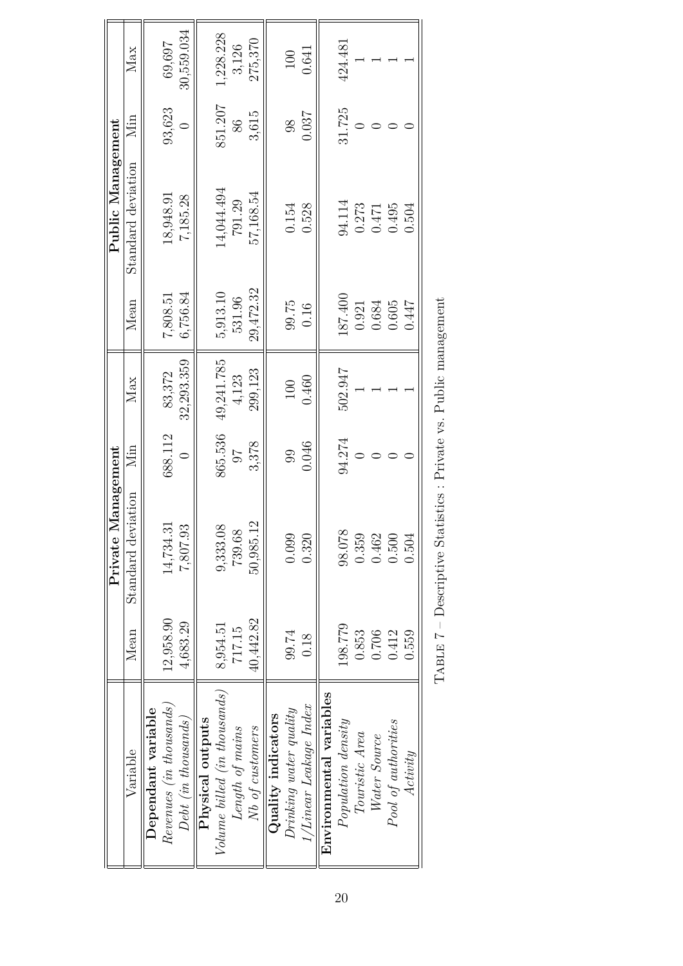|                                |           | Management<br>Private                                            |         |            |           | Public Management  |         |            |
|--------------------------------|-----------|------------------------------------------------------------------|---------|------------|-----------|--------------------|---------|------------|
| Variable                       | Mean      | Standard deviation                                               | Min     | Max        | Mean      | Standard deviation | Min     | Max        |
| Dependant variable             |           |                                                                  |         |            |           |                    |         |            |
| $Revenues$ (in thousands)      | 12,958.90 | 14,734.31                                                        | 688.112 | 83,372     | 7,808.51  | 18,948.91          | 93,623  | 69,697     |
| $Debt$ (in thousands)          | 4,683.29  | 7,807.93                                                         |         | 32,293.359 | 6,756.84  | 7,185.28           |         | 30,559.034 |
| Physical outputs               |           |                                                                  |         |            |           |                    |         |            |
| $Volume$ billed (in thousands) | 8,954.51  | $\infty$<br>9,333.0                                              | 865.536 | 49,241.785 | 5,913.10  | 14,044.494         | 851.207 | 1,228.228  |
| Length of mains                | 717.15    | 739.68                                                           | 76      | 4,123      | 531.96    | 791.29             | 86      | 3,126      |
| Nb of customers                | 40,442.82 | $\overline{2}$<br>50,985.                                        | 3,378   | 299,123    | 29,472.32 | 57,168.54          | 3,615   | 275,370    |
| Quality indicators             |           |                                                                  |         |            |           |                    |         |            |
| $Drinking\ water\ quality$     | 99.74     | 0.099                                                            | 99      | 100        | 99.75     | 0.154              | 98      | 100        |
| 1/Linear Leakage Index         | 0.18      | 0.320                                                            | 0.046   | 0.460      | 0.16      | 0.528              | 0.037   | 0.641      |
| Environmental variables        |           |                                                                  |         |            |           |                    |         |            |
| $Population\ density$          | 198.779   | 98.078                                                           | 94.274  | 502.947    | 187.400   | 94.114             | 31.725  | 424.481    |
| Touristic Area                 | 0.853     | 0.359                                                            |         |            | 0.921     | 0.273              |         |            |
| Water Source                   | 0.706     | 0.462                                                            |         |            | 0.684     | 0.471              |         |            |
| Pool of authorities            | 0.412     | 0.500                                                            |         |            | 0.605     | 0.495              |         |            |
| Actionity                      | 0.559     | 0.504                                                            |         |            | 0.447     | 0.504              |         |            |
|                                |           | TABLE 7 – Descriptive Statistics : Private vs. Public management |         |            |           |                    |         |            |

| l<br>)<br>l<br>$\frac{1}{2}$                                      |  |
|-------------------------------------------------------------------|--|
| - 【"——"<br>$\overline{ }$<br>l<br>.<br>ļ                          |  |
| - てく・+て・:                                                         |  |
| 计数字数字<br>;<br>l<br>֖֧֧֧֧֧֚֚֚֚֚֚֚֚֚֚֚֚֚֚֚֚֚֚֚֚֚֚֚֚֚֬֝֓֝֓֝֓֝֬֝<br>ľ |  |
| I<br>ľ<br>$\frac{1}{2}$<br>I                                      |  |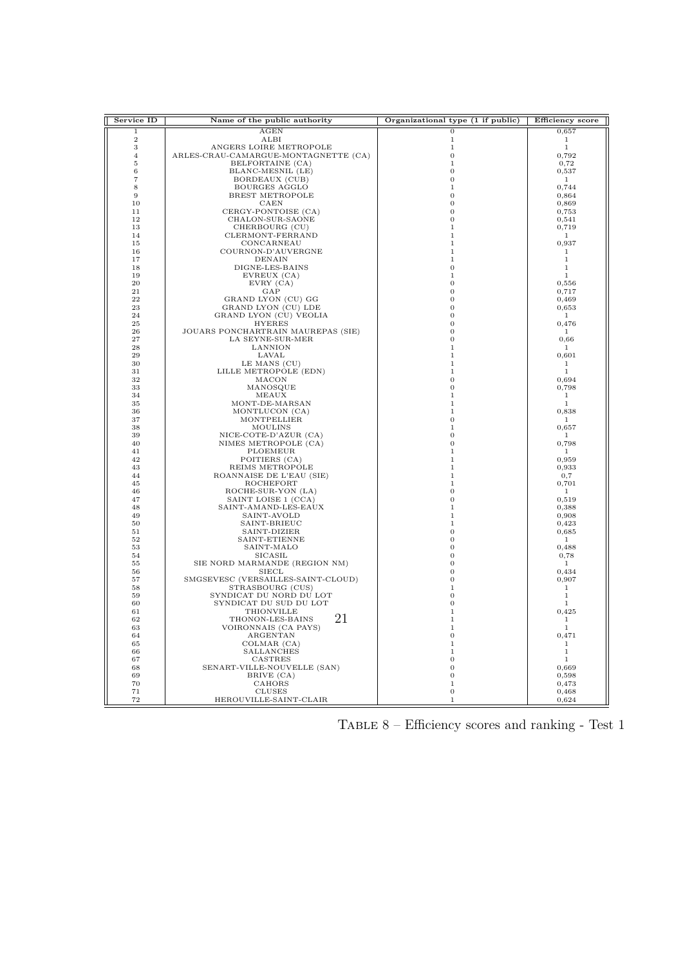| Service ID     | Name of the public authority                      | Organizational type (1 if public) | <b>Efficiency</b> score |
|----------------|---------------------------------------------------|-----------------------------------|-------------------------|
| 1              | AGEN                                              | 0                                 | 0,657                   |
| $\overline{2}$ | ALBI                                              | 1                                 | 1                       |
| 3              | ANGERS LOIRE METROPOLE                            | 1                                 | 1                       |
| $\overline{4}$ | ARLES-CRAU-CAMARGUE-MONTAGNETTE (CA)              | 0                                 | 0,792                   |
| 5              | BELFORTAINE (CA)                                  | 1                                 | 0,72                    |
| 6              | BLANC-MESNIL (LE)                                 | 0                                 | 0,537                   |
| $\overline{7}$ | BORDEAUX (CUB)                                    | 0                                 | $\mathbf{1}$            |
| 8              | BOURGES AGGLO                                     | 1                                 | 0,744                   |
| 9<br>10        | BREST METROPOLE<br>CAEN                           | 0<br>0                            | 0,864<br>0,869          |
| 11             | CERGY-PONTOISE (CA)                               | 0                                 | 0,753                   |
| 12             | CHALON-SUR-SAONE                                  | 0                                 | 0,541                   |
| 13             | CHERBOURG (CU)                                    | 1                                 | 0,719                   |
| 14             | CLERMONT-FERRAND                                  | $\mathbf 1$                       | $\mathbf{1}$            |
| 15             | CONCARNEAU                                        | 1                                 | 0,937                   |
| 16             | COURNON-D'AUVERGNE                                | 1                                 | $\mathbf{1}$            |
| 17             | <b>DENAIN</b>                                     | 1                                 | 1                       |
| 18             | DIGNE-LES-BAINS                                   | 0                                 | $\mathbf{1}$            |
| 19             | EVREUX (CA)                                       | 1                                 | 1                       |
| 20<br>21       | EVRY (CA)                                         | 0                                 | 0,556                   |
| 22             | GAP                                               | $\boldsymbol{0}$<br>0             | 0,717                   |
| 23             | GRAND LYON (CU) GG<br>GRAND LYON (CU) LDE         | 0                                 | 0,469<br>0,653          |
| 24             | GRAND LYON (CU) VEOLIA                            | 0                                 | 1                       |
| 25             | <b>HYERES</b>                                     | 0                                 | 0,476                   |
| 26             | JOUARS PONCHARTRAIN MAUREPAS (SIE)                | 0                                 | 1                       |
| 27             | LA SEYNE-SUR-MER                                  | 0                                 | 0,66                    |
| 28             | LANNION                                           | 1                                 | $\mathbf{1}$            |
| 29             | LAVAL                                             | 1                                 | 0,601                   |
| 30             | LE MANS (CU)                                      | 1                                 | $\mathbf{1}$            |
| 31<br>32       | LILLE METROPOLE (EDN)<br>MACON                    | 1<br>$\bf{0}$                     | 1<br>0,694              |
| 33             | MANOSQUE                                          | $\Omega$                          | 0,798                   |
| 34             | MEAUX                                             | 1                                 | $\mathbf{1}$            |
| 35             | MONT-DE-MARSAN                                    | 1                                 | $\mathbf{1}$            |
| 36             | MONTLUCON (CA)                                    | 1                                 | 0,838                   |
| 37             | <b>MONTPELLIER</b>                                | $\bf{0}$                          | $\mathbf{1}$            |
| 38             | <b>MOULINS</b>                                    | 1                                 | 0,657                   |
| 39             | NICE-COTE-D'AZUR (CA)                             | 0                                 | $\mathbf{1}$            |
| 40<br>41       | NIMES METROPOLE (CA)                              | $\Omega$<br>1                     | 0,798<br>$\mathbf{1}$   |
| 42             | PLOEMEUR<br>POITIERS (CA)                         | 1                                 | 0,959                   |
| 43             | REIMS METROPOLE                                   | 1                                 | 0,933                   |
| 44             | ROANNAISE DE L'EAU (SIE)                          | 1                                 | 0,7                     |
| 45             | ROCHEFORT                                         | 1                                 | 0,701                   |
| 46             | ROCHE-SUR-YON (LA)                                | 0                                 | $\mathbf{1}$            |
| 47             | SAINT LOISE 1 (CCA)                               | $\bf{0}$                          | 0,519                   |
| 48             | SAINT-AMAND-LES-EAUX                              | 1                                 | 0,388                   |
| 49             | SAINT-AVOLD                                       | 1                                 | 0,908                   |
| 50<br>51       | SAINT-BRIEUC<br>SAINT-DIZIER                      | 1<br>0                            | 0,423<br>0,685          |
| 52             | SAINT-ETIENNE                                     | 0                                 | 1                       |
| 53             | SAINT-MALO                                        | 0                                 | 0,488                   |
| 54             | SICASIL                                           | 0                                 | 0,78                    |
| 55             | SIE NORD MARMANDE (REGION NM)                     | $\overline{0}$                    | $\mathbf{1}$            |
| 56             | SIECL                                             | 0                                 | 0,434                   |
| 57             | SMGSEVESC (VERSAILLES-SAINT-CLOUD)                | 0                                 | 0,907                   |
| 58             | STRASBOURG (CUS)                                  | $\mathbf 1$                       | $\mathbf{1}$            |
| 59             | SYNDICAT DU NORD DU LOT<br>SYNDICAT DU SUD DU LOT | 0                                 | 1                       |
| 60<br>61       | THIONVILLE                                        | 0<br>$\mathbf 1$                  | $\mathbf{1}$<br>0,425   |
| 62             | 21<br>THONON-LES-BAINS                            | 1                                 | $\mathbf{1}$            |
| 63             | VOIRONNAIS (CA PAYS)                              | $\mathbf 1$                       | $\mathbf{1}$            |
| 64             | ARGENTAN                                          | $\overline{0}$                    | 0,471                   |
| 65             | COLMAR (CA)                                       | 1                                 | -1.                     |
| 66             | <b>SALLANCHES</b>                                 | 1                                 | 1                       |
| 67             | CASTRES                                           | 0                                 | $\mathbf{1}$            |
| 68             | SENART-VILLE-NOUVELLE (SAN)                       | 0                                 | 0,669                   |
| 69<br>70       | BRIVE (CA)<br>CAHORS                              | 0<br>1                            | 0,598<br>0,473          |
| 71             | <b>CLUSES</b>                                     | 0                                 | 0,468                   |
| 72             | HEROUVILLE-SAINT-CLAIR                            | 1                                 | 0,624                   |
|                |                                                   |                                   |                         |

TABLE – Efficiency scores and ranking - Test  $1$